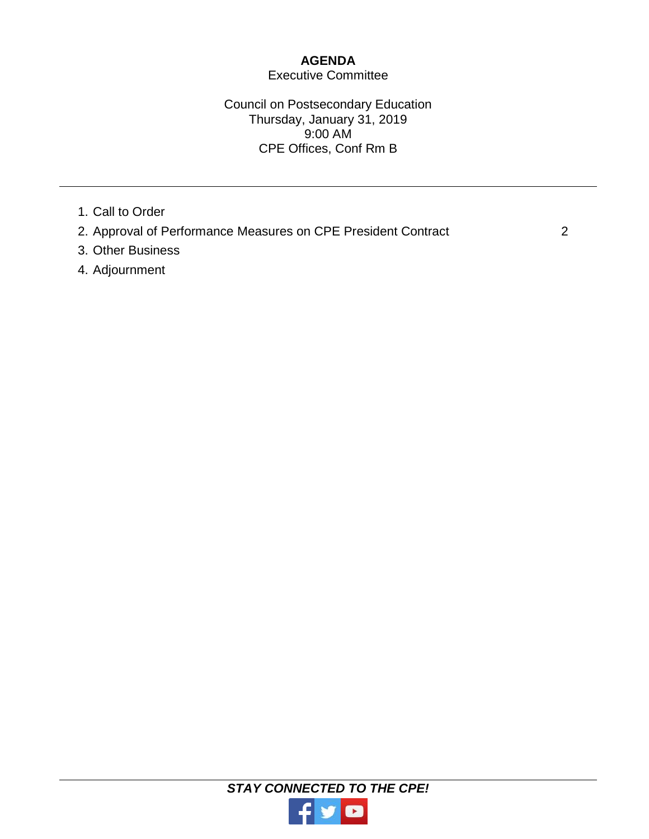# **AGENDA**

# Executive Committee

## Council on Postsecondary Education Thursday, January 31, 2019 9:00 AM CPE Offices, Conf Rm B

- 1. Call to Order
- 2. Approval of Performance Measures on CPE President Contract 2
- 3. Other Business
- 4. Adjournment

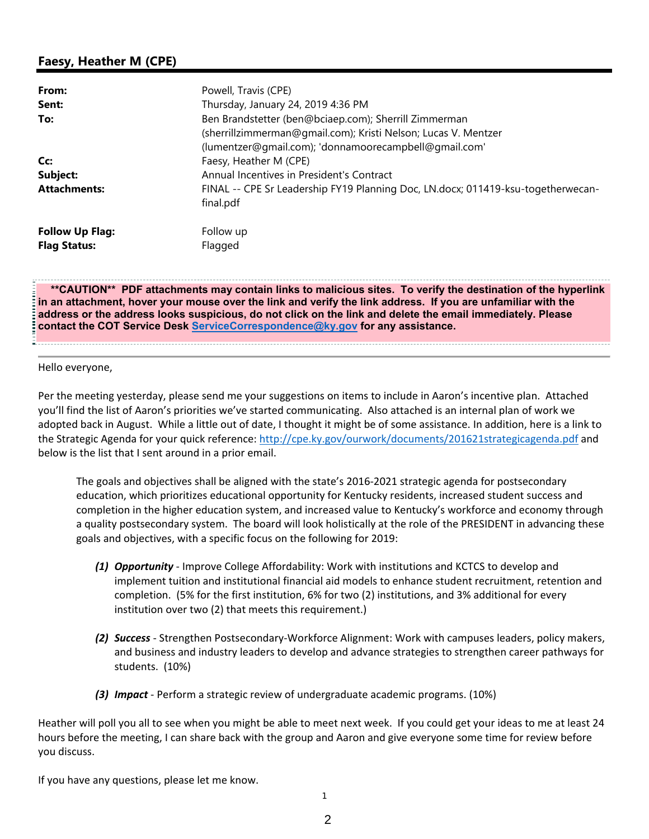# **Faesy, Heather M (CPE)**

| From:                  | Powell, Travis (CPE)                                                             |
|------------------------|----------------------------------------------------------------------------------|
| Sent:                  | Thursday, January 24, 2019 4:36 PM                                               |
| To:                    | Ben Brandstetter (ben@bciaep.com); Sherrill Zimmerman                            |
|                        | (sherrillzimmerman@gmail.com); Kristi Nelson; Lucas V. Mentzer                   |
|                        | (lumentzer@gmail.com); 'donnamoorecampbell@gmail.com'                            |
| Cc:                    | Faesy, Heather M (CPE)                                                           |
| Subject:               | Annual Incentives in President's Contract                                        |
| <b>Attachments:</b>    | FINAL -- CPE Sr Leadership FY19 Planning Doc, LN.docx; 011419-ksu-togetherwecan- |
|                        | final.pdf                                                                        |
| <b>Follow Up Flag:</b> | Follow up                                                                        |
| <b>Flag Status:</b>    | Flagged                                                                          |

**\*\*CAUTION\*\* PDF attachments may contain links to malicious sites. To verify the destination of the hyperlink in an attachment, hover your mouse over the link and verify the link address. If you are unfamiliar with the address or the address looks suspicious, do not click on the link and delete the email immediately. Please contact the COT Service Desk ServiceCorrespondence@ky.gov for any assistance.** 

#### Hello everyone,

Per the meeting yesterday, please send me your suggestions on items to include in Aaron's incentive plan. Attached you'll find the list of Aaron's priorities we've started communicating. Also attached is an internal plan of work we adopted back in August. While a little out of date, I thought it might be of some assistance. In addition, here is a link to the Strategic Agenda for your quick reference: http://cpe.ky.gov/ourwork/documents/201621strategicagenda.pdf and below is the list that I sent around in a prior email.

The goals and objectives shall be aligned with the state's 2016‐2021 strategic agenda for postsecondary education, which prioritizes educational opportunity for Kentucky residents, increased student success and completion in the higher education system, and increased value to Kentucky's workforce and economy through a quality postsecondary system. The board will look holistically at the role of the PRESIDENT in advancing these goals and objectives, with a specific focus on the following for 2019:

- *(1) Opportunity* ‐ Improve College Affordability: Work with institutions and KCTCS to develop and implement tuition and institutional financial aid models to enhance student recruitment, retention and completion. (5% for the first institution, 6% for two (2) institutions, and 3% additional for every institution over two (2) that meets this requirement.)
- *(2) Success* ‐ Strengthen Postsecondary‐Workforce Alignment: Work with campuses leaders, policy makers, and business and industry leaders to develop and advance strategies to strengthen career pathways for students. (10%)
- *(3) Impact* ‐ Perform a strategic review of undergraduate academic programs. (10%)

Heather will poll you all to see when you might be able to meet next week. If you could get your ideas to me at least 24 hours before the meeting, I can share back with the group and Aaron and give everyone some time for review before you discuss.

If you have any questions, please let me know.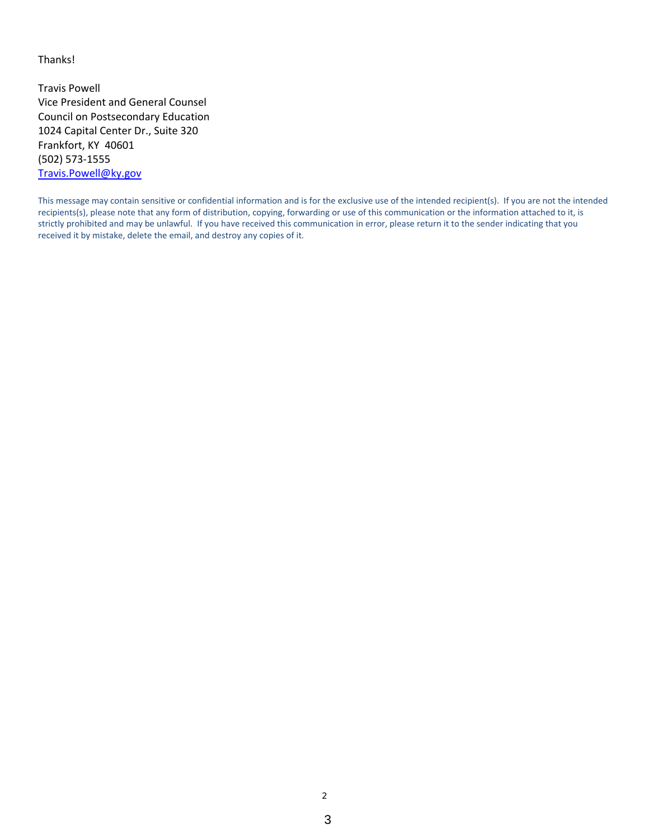Thanks!

Travis Powell Vice President and General Counsel Council on Postsecondary Education 1024 Capital Center Dr., Suite 320 Frankfort, KY 40601 (502) 573‐1555 Travis.Powell@ky.gov

This message may contain sensitive or confidential information and is for the exclusive use of the intended recipient(s). If you are not the intended recipients(s), please note that any form of distribution, copying, forwarding or use of this communication or the information attached to it, is strictly prohibited and may be unlawful. If you have received this communication in error, please return it to the sender indicating that you received it by mistake, delete the email, and destroy any copies of it.

2